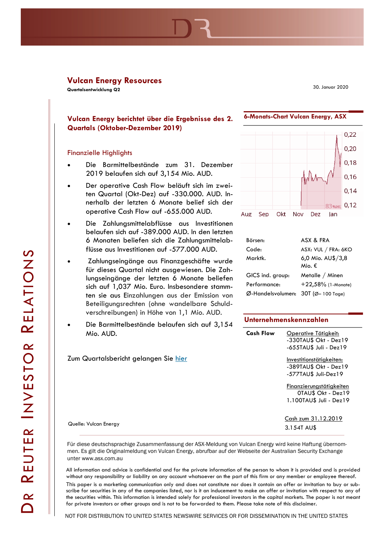# **Vulcan Energy Resources**

**Quartalsentwicklung Q2**

30. Januar 2020

**6-Monats-Chart Vulcan Energy, ASX**

# **Vulcan Energy berichtet über die Ergebnisse des 2. Quartals (Oktober-Dezember 2019)**

### Finanzielle Highlights

- Die Barmittelbestände zum 31. Dezember 2019 belaufen sich auf 3,154 Mio. AUD.
- Der operative Cash Flow beläuft sich im zweiten Quartal (Okt-Dez) auf -330.000. AUD. Innerhalb der letzten 6 Monate belief sich der operative Cash Flow auf -655.000 AUD.
- Die Zahlungsmittelabflüsse aus Investitionen belaufen sich auf -389.000 AUD. In den letzten 6 Monaten beliefen sich die Zahlungsmittelabflüsse aus Investitionen auf -577.000 AUD.
- Zahlungseingänge aus Finanzgeschäfte wurde für dieses Quartal nicht ausgewiesen. Die Zahlungseingänge der letzten 6 Monate beliefen sich auf 1,037 Mio. Euro. Insbesondere stammten sie aus Einzahlungen aus der Emission von Beteiligungsrechten (ohne wandelbare Schuldverschreibungen) in Höhe von 1,1 Mio. AUD.
- Die Barmittelbestände belaufen sich auf 3,154 Mio. AUD.



| Börsen:           | ASX & FRA                   |
|-------------------|-----------------------------|
| Code:             | ASX: VUL / FRA: 6KO         |
| Marktk.           | 6,0 Mio. AU\$/3,8<br>Mio. € |
| GICS ind. group:  | Metalle / Minen             |
| Performance:      | +22,58% (1-Monate)          |
| Ø-Handelsvolumen: | $30T$ (Ø– 100 Tage)         |

#### **Unternehmenskennzahlen**

| Mio. AUD.                                    | <b>Cash Flow</b> | Operative Tätigkeit:<br>$-330$ TAU\$ Okt - Dez $19$<br>-655TAU\$ Juli - Dez19 |
|----------------------------------------------|------------------|-------------------------------------------------------------------------------|
| Zum Quartalsbericht gelangen Sie <u>hier</u> |                  | Investitionstätiakeiten:<br>-389TAU\$ Okt - Dez19<br>-577TAU\$ Juli-Dez19     |
|                                              |                  | Finanzierungstätigkeiten<br>0TAU\$ Okt - Dez19<br>1.100TAU\$ Juli - Dez19     |
| Quelle: Vulcan Energy                        |                  | Cash zum 31.12.2019<br>3.154T AU\$                                            |

Für diese deutschsprachige Zusammenfassung der ASX-Meldung von Vulcan Energy wird keine Haftung übernommen. Es gilt die Originalmeldung von Vulcan Energy, abrufbar auf der Webseite der Australian Security Exchange unter www.asx.com.au

All information and advice is confidential and for the private information of the person to whom it is provided and is provided without any responsibility or liability on any account whatsoever on the part of this firm or any member or employee thereof. This paper is a marketing communication only and does not constitute nor does it contain an offer or invitation to buy or subscribe for securities in any of the companies listed, nor is it an inducement to make an offer or invitation with respect to any of the securities within. This information is intended solely for professional investors in the capital markets. The paper is not meant for private investors or other groups and is not to be forwarded to them. Please take note of this disclaimer.

NOT FOR DISTRIBUTION TO UNITED STATES NEWSWIRE SERVICES OR FOR DISSEMINATION IN THE UNITED STATES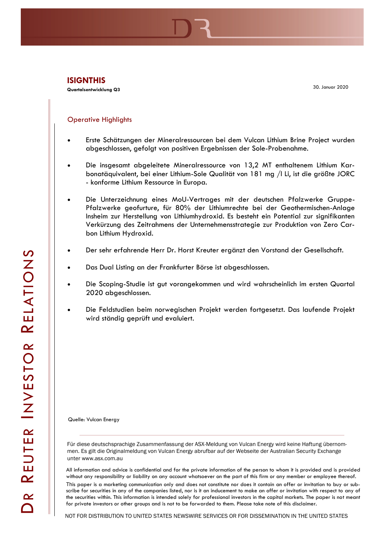**Quartalsentwicklung Q3**

30. Januar 2020

## Operative Highlights

- Erste Schätzungen der Mineralressourcen bei dem Vulcan Lithium Brine Project wurden abgeschlossen, gefolgt von positiven Ergebnissen der Sole-Probenahme.
- Die insgesamt abgeleitete Mineralressource von 13,2 MT enthaltenem Lithium Karbonatäquivalent, bei einer Lithium-Sole Qualität von 181 mg /l Li, ist die größte JORC - konforme Lithium Ressource in Europa.
- Die Unterzeichnung eines MoU-Vertrages mit der deutschen Pfalzwerke Gruppe-Pfalzwerke geofurture, für 80% der Lithiumrechte bei der Geothermischen-Anlage Insheim zur Herstellung von Lithiumhydroxid. Es besteht ein Potential zur signifikanten Verkürzung des Zeitrahmens der Unternehmensstrategie zur Produktion von Zero Carbon Lithium Hydroxid.
- Der sehr erfahrende Herr Dr. Horst Kreuter ergänzt den Vorstand der Gesellschaft.
- Das Dual Listing an der Frankfurter Börse ist abgeschlossen.
- Die Scoping-Studie ist gut vorangekommen und wird wahrscheinlich im ersten Quartal 2020 abgeschlossen.
- Die Feldstudien beim norwegischen Projekt werden fortgesetzt. Das laufende Projekt wird ständig geprüft und evaluiert.

Quelle: Vulcan Energy

Für diese deutschsprachige Zusammenfassung der ASX-Meldung von Vulcan Energy wird keine Haftung übernommen. Es gilt die Originalmeldung von Vulcan Energy abrufbar auf der Webseite der Australian Security Exchange unter www.asx.com.au

All information and advice is confidential and for the private information of the person to whom it is provided and is provided without any responsibility or liability on any account whatsoever on the part of this firm or any member or employee thereof. This paper is a marketing communication only and does not constitute nor does it contain an offer or invitation to buy or subscribe for securities in any of the companies listed, nor is it an inducement to make an offer or invitation with respect to any of the securities within. This information is intended solely for professional investors in the capital markets. The paper is not meant for private investors or other groups and is not to be forwarded to them. Please take note of this disclaimer.

NOT FOR DISTRIBUTION TO UNITED STATES NEWSWIRE SERVICES OR FOR DISSEMINATION IN THE UNITED STATES